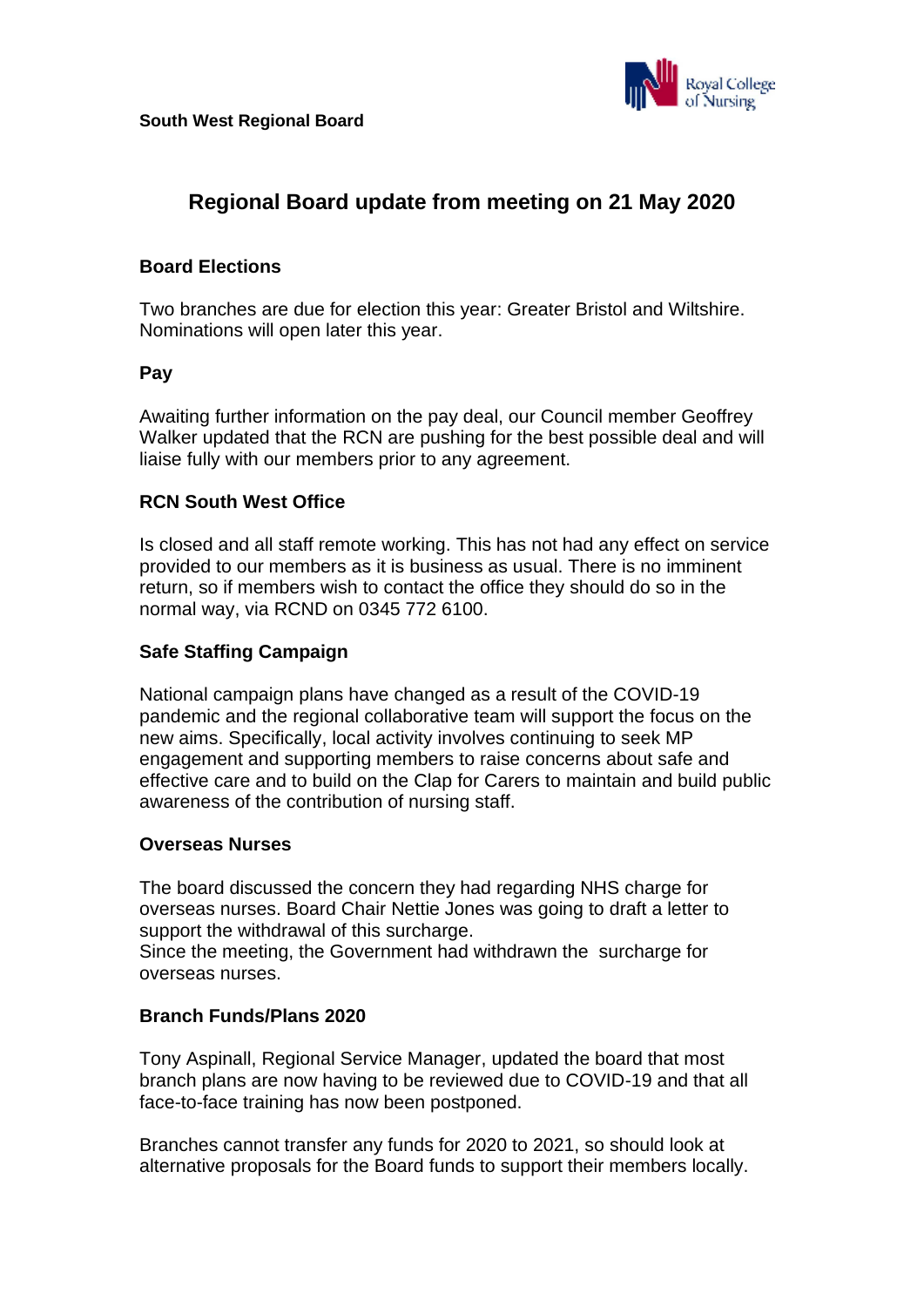

# **Regional Board update from meeting on 21 May 2020**

# **Board Elections**

Two branches are due for election this year: Greater Bristol and Wiltshire. Nominations will open later this year.

#### **Pay**

Awaiting further information on the pay deal, our Council member Geoffrey Walker updated that the RCN are pushing for the best possible deal and will liaise fully with our members prior to any agreement.

# **RCN South West Office**

Is closed and all staff remote working. This has not had any effect on service provided to our members as it is business as usual. There is no imminent return, so if members wish to contact the office they should do so in the normal way, via RCND on 0345 772 6100.

### **Safe Staffing Campaign**

National campaign plans have changed as a result of the COVID-19 pandemic and the regional collaborative team will support the focus on the new aims. Specifically, local activity involves continuing to seek MP engagement and supporting members to raise concerns about safe and effective care and to build on the Clap for Carers to maintain and build public awareness of the contribution of nursing staff.

#### **Overseas Nurses**

The board discussed the concern they had regarding NHS charge for overseas nurses. Board Chair Nettie Jones was going to draft a letter to support the withdrawal of this surcharge.

Since the meeting, the Government had withdrawn the surcharge for overseas nurses.

#### **Branch Funds/Plans 2020**

Tony Aspinall, Regional Service Manager, updated the board that most branch plans are now having to be reviewed due to COVID-19 and that all face-to-face training has now been postponed.

Branches cannot transfer any funds for 2020 to 2021, so should look at alternative proposals for the Board funds to support their members locally.